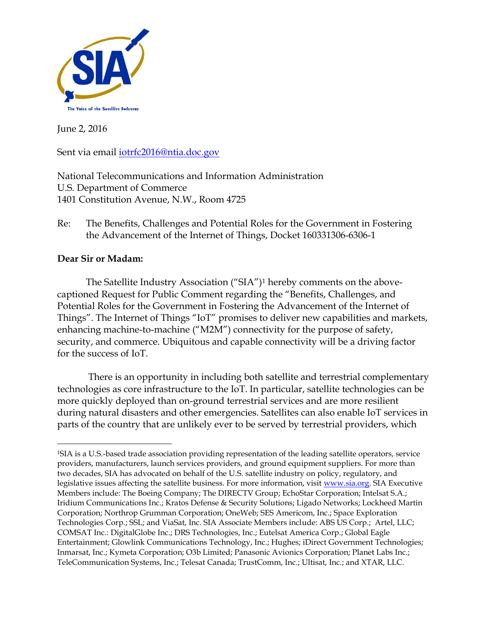

June 2, 2016

Sent via email [iotrfc2016@ntia.doc.gov](mailto:iotrfc2016@ntia.doc.gov)

National Telecommunications and Information Administration U.S. Department of Commerce 1401 Constitution Avenue, N.W., Room 4725

Re: The Benefits, Challenges and Potential Roles for the Government in Fostering the Advancement of the Internet of Things, Docket 160331306-6306-1

## **Dear Sir or Madam:**

 $\overline{a}$ 

The Satellite Industry Association ("SIA")<sup>1</sup> hereby comments on the abovecaptioned Request for Public Comment regarding the "Benefits, Challenges, and Potential Roles for the Government in Fostering the Advancement of the Internet of Things". The Internet of Things "IoT" promises to deliver new capabilities and markets, enhancing machine-to-machine ("M2M") connectivity for the purpose of safety, security, and commerce. Ubiquitous and capable connectivity will be a driving factor for the success of IoT.

There is an opportunity in including both satellite and terrestrial complementary technologies as core infrastructure to the IoT. In particular, satellite technologies can be more quickly deployed than on-ground terrestrial services and are more resilient during natural disasters and other emergencies. Satellites can also enable IoT services in parts of the country that are unlikely ever to be served by terrestrial providers, which

<sup>1</sup>SIA is a U.S.-based trade association providing representation of the leading satellite operators, service providers, manufacturers, launch services providers, and ground equipment suppliers. For more than two decades, SIA has advocated on behalf of the U.S. satellite industry on policy, regulatory, and legislative issues affecting the satellite business. For more information, visit www.sia.org. SIA Executive Members include: The Boeing Company; The DIRECTV Group; EchoStar Corporation; Intelsat S.A.; Iridium Communications Inc.; Kratos Defense & Security Solutions; Ligado Networks; Lockheed Martin Corporation; Northrop Grumman Corporation; OneWeb; SES Americom, Inc.; Space Exploration Technologies Corp.; SSL; and ViaSat, Inc. SIA Associate Members include: ABS US Corp.; Artel, LLC; COMSAT Inc.: DigitalGlobe Inc.; DRS Technologies, Inc.; Eutelsat America Corp.; Global Eagle Entertainment; Glowlink Communications Technology, Inc.; Hughes; iDirect Government Technologies; Inmarsat, Inc.; Kymeta Corporation; O3b Limited; Panasonic Avionics Corporation; Planet Labs Inc.; TeleCommunication Systems, Inc.; Telesat Canada; TrustComm, Inc.; Ultisat, Inc.; and XTAR, LLC.